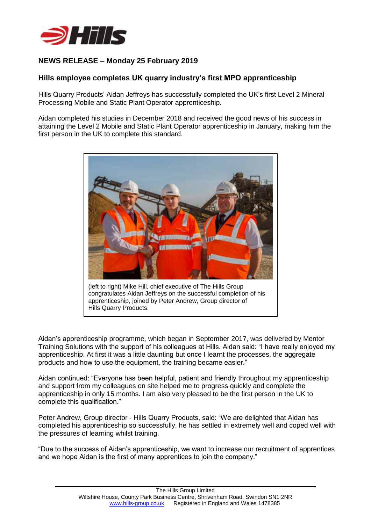

# **NEWS RELEASE – Monday 25 February 2019**

## **Hills employee completes UK quarry industry's first MPO apprenticeship**

Hills Quarry Products' Aidan Jeffreys has successfully completed the UK's first Level 2 Mineral Processing Mobile and Static Plant Operator apprenticeship.

Aidan completed his studies in December 2018 and received the good news of his success in attaining the Level 2 Mobile and Static Plant Operator apprenticeship in January, making him the first person in the UK to complete this standard.



(left to right) Mike Hill, chief executive of The Hills Group congratulates Aidan Jeffreys on the successful completion of his apprenticeship, joined by Peter Andrew, Group director of Hills Quarry Products.

Aidan's apprenticeship programme, which began in September 2017, was delivered by Mentor Training Solutions with the support of his colleagues at Hills. Aidan said: "I have really enjoyed my apprenticeship. At first it was a little daunting but once I learnt the processes, the aggregate products and how to use the equipment, the training became easier."

Aidan continued: "Everyone has been helpful, patient and friendly throughout my apprenticeship and support from my colleagues on site helped me to progress quickly and complete the apprenticeship in only 15 months. I am also very pleased to be the first person in the UK to complete this qualification."

Peter Andrew, Group director - Hills Quarry Products, said: "We are delighted that Aidan has completed his apprenticeship so successfully, he has settled in extremely well and coped well with the pressures of learning whilst training.

"Due to the success of Aidan's apprenticeship, we want to increase our recruitment of apprentices and we hope Aidan is the first of many apprentices to join the company."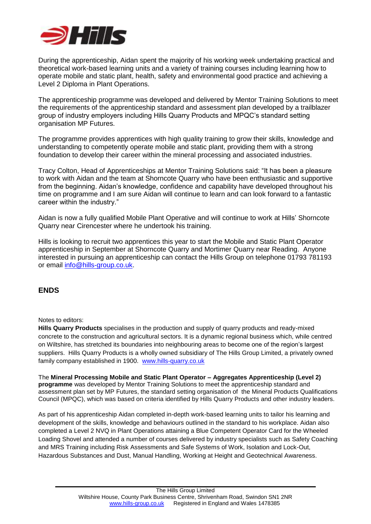

During the apprenticeship, Aidan spent the majority of his working week undertaking practical and theoretical work-based learning units and a variety of training courses including learning how to operate mobile and static plant, health, safety and environmental good practice and achieving a Level 2 Diploma in Plant Operations.

The apprenticeship programme was developed and delivered by Mentor Training Solutions to meet the requirements of the apprenticeship standard and assessment plan developed by a trailblazer group of industry employers including Hills Quarry Products and MPQC's standard setting organisation MP Futures.

The programme provides apprentices with high quality training to grow their skills, knowledge and understanding to competently operate mobile and static plant, providing them with a strong foundation to develop their career within the mineral processing and associated industries.

Tracy Colton, Head of Apprenticeships at Mentor Training Solutions said: "It has been a pleasure to work with Aidan and the team at Shorncote Quarry who have been enthusiastic and supportive from the beginning. Aidan's knowledge, confidence and capability have developed throughout his time on programme and I am sure Aidan will continue to learn and can look forward to a fantastic career within the industry."

Aidan is now a fully qualified Mobile Plant Operative and will continue to work at Hills' Shorncote Quarry near Cirencester where he undertook his training.

Hills is looking to recruit two apprentices this year to start the Mobile and Static Plant Operator apprenticeship in September at Shorncote Quarry and Mortimer Quarry near Reading. Anyone interested in pursuing an apprenticeship can contact the Hills Group on telephone 01793 781193 or email [info@hills-group.co.uk.](mailto:info@hills-group.co.uk)

## **ENDS**

### Notes to editors:

**Hills Quarry Products** specialises in the production and supply of quarry products and ready-mixed concrete to the construction and agricultural sectors. It is a dynamic regional business which, while centred on Wiltshire, has stretched its boundaries into neighbouring areas to become one of the region's largest suppliers. Hills Quarry Products is a wholly owned subsidiary of The Hills Group Limited, a privately owned family company established in 1900. [www.hills-quarry.co.uk](http://www.hills-quarry.co.uk/)

The **Mineral Processing Mobile and Static Plant Operator – Aggregates Apprenticeship (Level 2) programme** was developed by Mentor Training Solutions to meet the apprenticeship standard and assessment plan set by MP Futures, the standard setting organisation of the Mineral Products Qualifications Council (MPQC), which was based on criteria identified by Hills Quarry Products and other industry leaders.

As part of his apprenticeship Aidan completed in-depth work-based learning units to tailor his learning and development of the skills, knowledge and behaviours outlined in the standard to his workplace. Aidan also completed a Level 2 NVQ in Plant Operations attaining a Blue Competent Operator Card for the Wheeled Loading Shovel and attended a number of courses delivered by industry specialists such as Safety Coaching and MRS Training including Risk Assessments and Safe Systems of Work, Isolation and Lock-Out, Hazardous Substances and Dust, Manual Handling, Working at Height and Geotechnical Awareness.